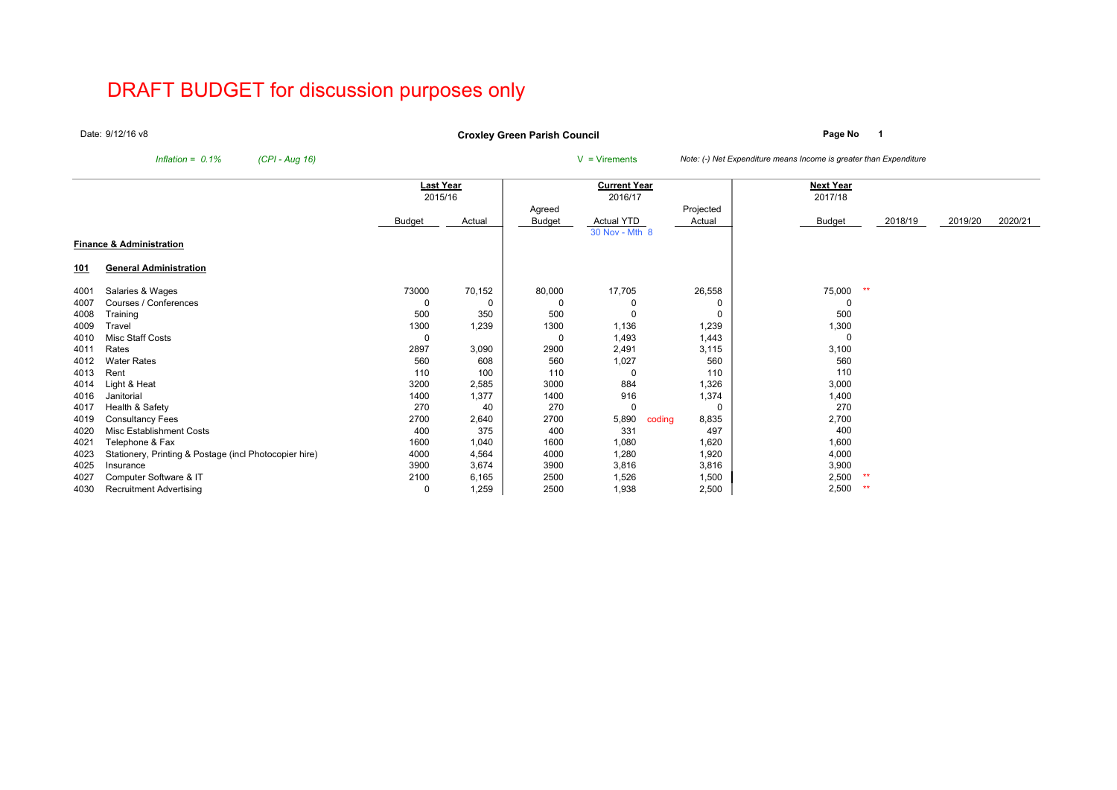# DRAFT BUDGET for discussion purposes only

Date: 9/12/16 v8

**Page No <sup>1</sup> Croxley Green Parish Council**

*Inflation* = *0.1% (CPI - Aug 16)* V = Virements *Note: (-) Net Expenditure means Income is greater than Expenditure* 

|            |                                                        | Last Year |          |        | <b>Current Year</b> |                 | <b>Next Year</b> |         |         |         |
|------------|--------------------------------------------------------|-----------|----------|--------|---------------------|-----------------|------------------|---------|---------|---------|
|            |                                                        | 2015/16   |          |        | 2016/17             |                 | 2017/18          |         |         |         |
|            |                                                        |           |          | Agreed |                     | Projected       |                  |         |         |         |
|            |                                                        | Budget    | Actual   | Budget | Actual YTD          | Actual          | Budget           | 2018/19 | 2019/20 | 2020/21 |
|            | <b>Finance &amp; Administration</b>                    |           |          |        | 30 Nov - Mth 8      |                 |                  |         |         |         |
|            |                                                        |           |          |        |                     |                 |                  |         |         |         |
| <u>101</u> | <b>General Administration</b>                          |           |          |        |                     |                 |                  |         |         |         |
| 4001       | Salaries & Wages                                       | 73000     | 70,152   | 80,000 | 17,705              | 26,558          | 75,000<br>**     |         |         |         |
| 4007       | Courses / Conferences                                  | 0         | $\Omega$ |        |                     | 0               |                  |         |         |         |
| 4008       | Training                                               | 500       | 350      | 500    | $\Omega$            | 0               | 500              |         |         |         |
| 4009       | Travel                                                 | 1300      | 1,239    | 1300   | 1,136               | 1,239           | 1,300            |         |         |         |
| 4010       | Misc Staff Costs                                       | 0         |          | -0     | 1,493               | 1,443           |                  |         |         |         |
| 4011       | Rates                                                  | 2897      | 3,090    | 2900   | 2,491               | 3,115           | 3,100            |         |         |         |
| 4012       | <b>Water Rates</b>                                     | 560       | 608      | 560    | 1,027               | 560             | 560              |         |         |         |
| 4013       | Rent                                                   | 110       | 100      | 110    | $\Omega$            | 110             | 110              |         |         |         |
| 4014       | Light & Heat                                           | 3200      | 2,585    | 3000   | 884                 | 1,326           | 3,000            |         |         |         |
| 4016       | Janitorial                                             | 1400      | 1,377    | 1400   | 916                 | 1,374           | 1,400            |         |         |         |
| 4017       | Health & Safety                                        | 270       | 40       | 270    | $\Omega$            | 0               | 270              |         |         |         |
| 4019       | <b>Consultancy Fees</b>                                | 2700      | 2,640    | 2700   | 5,890               | 8,835<br>coding | 2,700            |         |         |         |
| 4020       | Misc Establishment Costs                               | 400       | 375      | 400    | 331                 | 497             | 400              |         |         |         |
| 4021       | Telephone & Fax                                        | 1600      | 1,040    | 1600   | 1,080               | 1,620           | 1,600            |         |         |         |
| 4023       | Stationery, Printing & Postage (incl Photocopier hire) | 4000      | 4,564    | 4000   | 1,280               | 1,920           | 4,000            |         |         |         |
| 4025       | Insurance                                              | 3900      | 3,674    | 3900   | 3,816               | 3,816           | 3,900            |         |         |         |
| 4027       | Computer Software & IT                                 | 2100      | 6,165    | 2500   | 1,526               | 1,500           | 2,500<br>**      |         |         |         |
| 4030       | <b>Recruitment Advertising</b>                         | 0         | 1,259    | 2500   | 1,938               | 2,500           | 2,500<br>**      |         |         |         |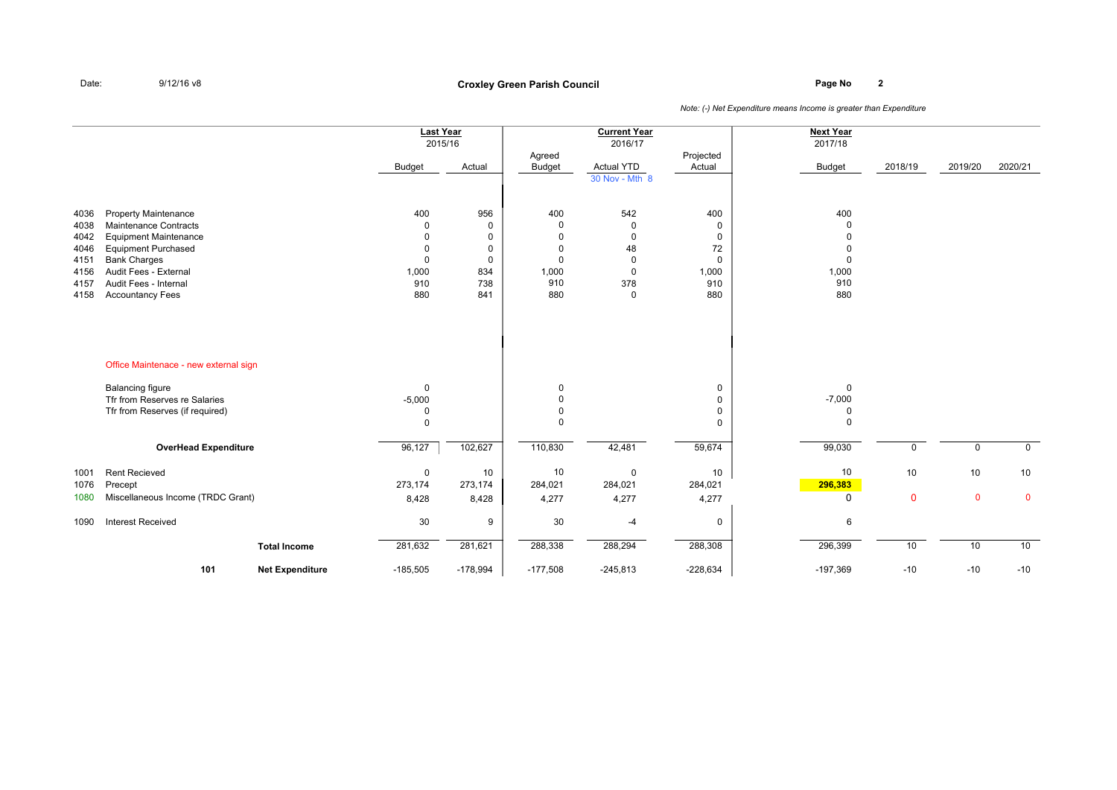## **Page No <sup>2</sup> Croxley Green Parish Council**

|              |                                              |                        | <b>Last Year</b><br>2015/16<br><b>Budget</b> | Actual      | Agreed<br><b>Budget</b> | <b>Current Year</b><br>2016/17<br><b>Actual YTD</b> | Projected<br>Actual | <b>Next Year</b><br>2017/18<br><b>Budget</b> | 2018/19      | 2019/20     | 2020/21     |
|--------------|----------------------------------------------|------------------------|----------------------------------------------|-------------|-------------------------|-----------------------------------------------------|---------------------|----------------------------------------------|--------------|-------------|-------------|
|              |                                              |                        |                                              |             |                         | 30 Nov - Mth 8                                      |                     |                                              |              |             |             |
| 4036         | <b>Property Maintenance</b>                  |                        | 400                                          | 956         | 400                     | 542                                                 | 400                 | 400                                          |              |             |             |
| 4038         | <b>Maintenance Contracts</b>                 |                        | $\mathbf 0$                                  | $\mathbf 0$ | $\mathbf 0$             | $\mathbf 0$                                         | 0                   | 0                                            |              |             |             |
| 4042         | <b>Equipment Maintenance</b>                 |                        | $\Omega$                                     | $\mathbf 0$ | $\mathbf 0$             | $\mathbf 0$                                         | 0                   | $\Omega$                                     |              |             |             |
| 4046         | <b>Equipment Purchased</b>                   |                        | $\Omega$                                     | $\mathbf 0$ | $\Omega$                | 48                                                  | 72                  | $\mathbf 0$                                  |              |             |             |
| 4151         | <b>Bank Charges</b><br>Audit Fees - External |                        | $\Omega$                                     | $\mathbf 0$ | $\Omega$                | $\Omega$<br>$\mathbf 0$                             | 0                   | 0                                            |              |             |             |
| 4156<br>4157 | Audit Fees - Internal                        |                        | 1,000<br>910                                 | 834<br>738  | 1,000<br>910            | 378                                                 | 1,000<br>910        | 1,000<br>910                                 |              |             |             |
| 4158         | <b>Accountancy Fees</b>                      |                        | 880                                          | 841         | 880                     | $\mathbf 0$                                         | 880                 | 880                                          |              |             |             |
|              | Office Maintenace - new external sign        |                        |                                              |             |                         |                                                     |                     |                                              |              |             |             |
|              | <b>Balancing figure</b>                      |                        | $\mathbf 0$                                  |             | 0                       |                                                     | 0                   | $\Omega$                                     |              |             |             |
|              | Tfr from Reserves re Salaries                |                        | $-5,000$                                     |             | $\Omega$                |                                                     | 0                   | $-7,000$                                     |              |             |             |
|              | Tfr from Reserves (if required)              |                        | 0<br>$\Omega$                                |             | $\mathbf 0$<br>$\Omega$ |                                                     | 0<br>0              | 0<br>$\Omega$                                |              |             |             |
|              |                                              |                        |                                              |             |                         |                                                     |                     |                                              |              |             |             |
|              | <b>OverHead Expenditure</b>                  |                        | 96,127                                       | 102,627     | 110,830                 | 42,481                                              | 59,674              | 99,030                                       | 0            | $\mathbf 0$ | $\mathbf 0$ |
| 1001         | <b>Rent Recieved</b>                         |                        | $\mathbf 0$                                  | 10          | 10                      | $\mathbf 0$                                         | 10                  | 10                                           | 10           | 10          | 10          |
| 1076         | Precept                                      |                        | 273,174                                      | 273,174     | 284,021                 | 284,021                                             | 284,021             | 296,383                                      |              |             |             |
| 1080         | Miscellaneous Income (TRDC Grant)            |                        | 8,428                                        | 8,428       | 4,277                   | 4,277                                               | 4,277               | 0                                            | $\mathbf{0}$ | $\mathbf 0$ | $\mathbf 0$ |
| 1090         | <b>Interest Received</b>                     |                        | 30                                           | 9           | 30                      | $-4$                                                | 0                   | 6                                            |              |             |             |
|              |                                              | <b>Total Income</b>    | 281,632                                      | 281,621     | 288,338                 | 288,294                                             | 288,308             | 296,399                                      | 10           | 10          | 10          |
|              | 101                                          | <b>Net Expenditure</b> | $-185,505$                                   | $-178,994$  | $-177,508$              | $-245,813$                                          | $-228,634$          | $-197,369$                                   | $-10$        | $-10$       | $-10$       |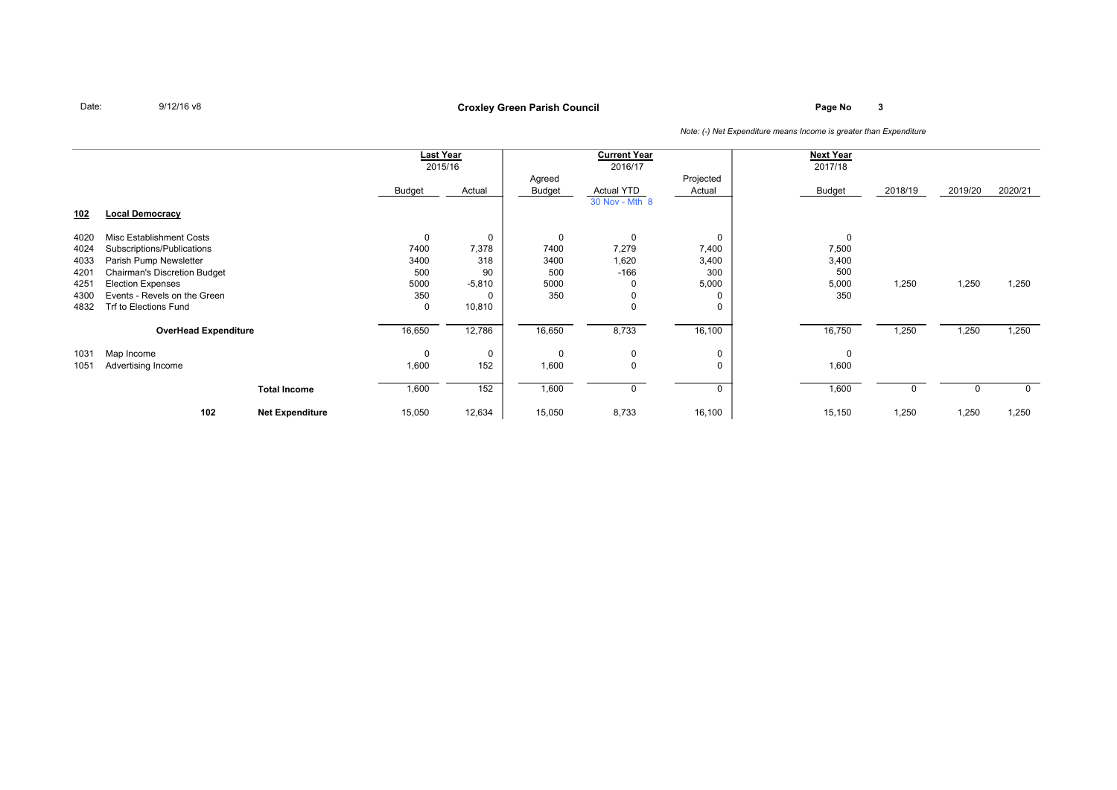## **Page No <sup>3</sup> Croxley Green Parish Council**

|            |                                     |                        | <b>Last Year</b> |             |        | <b>Current Year</b> |             | <b>Next Year</b> |         |         |             |
|------------|-------------------------------------|------------------------|------------------|-------------|--------|---------------------|-------------|------------------|---------|---------|-------------|
|            |                                     |                        | 2015/16          |             |        | 2016/17             |             | 2017/18          |         |         |             |
|            |                                     |                        |                  |             | Agreed |                     | Projected   |                  |         |         |             |
|            |                                     |                        | Budget           | Actual      | Budget | <b>Actual YTD</b>   | Actual      | Budget           | 2018/19 | 2019/20 | 2020/21     |
|            |                                     |                        |                  |             |        | 30 Nov - Mth 8      |             |                  |         |         |             |
| <u>102</u> | <b>Local Democracy</b>              |                        |                  |             |        |                     |             |                  |         |         |             |
| 4020       | Misc Establishment Costs            |                        | 0                | $\Omega$    | 0      | $\mathbf 0$         | 0           | 0                |         |         |             |
| 4024       | Subscriptions/Publications          |                        | 7400             | 7,378       | 7400   | 7,279               | 7,400       | 7,500            |         |         |             |
| 4033       | Parish Pump Newsletter              |                        | 3400             | 318         | 3400   | 1,620               | 3,400       | 3,400            |         |         |             |
| 4201       | <b>Chairman's Discretion Budget</b> |                        | 500              | 90          | 500    | $-166$              | 300         | 500              |         |         |             |
| 4251       | <b>Election Expenses</b>            |                        | 5000             | $-5,810$    | 5000   |                     | 5,000       | 5,000            | 1,250   | 1,250   | 1,250       |
| 4300       | Events - Revels on the Green        |                        | 350              |             | 350    |                     | 0           | 350              |         |         |             |
| 4832       | Trf to Elections Fund               |                        | 0                | 10,810      |        | $\mathbf 0$         | 0           |                  |         |         |             |
|            | <b>OverHead Expenditure</b>         |                        | 16,650           | 12,786      | 16,650 | 8,733               | 16,100      | 16,750           | 1,250   | 1,250   | 1,250       |
|            |                                     |                        |                  |             |        |                     |             |                  |         |         |             |
| 1031       | Map Income                          |                        | 0                | $\mathbf 0$ | 0      | $\mathbf 0$         | 0           | 0                |         |         |             |
| 1051       | Advertising Income                  |                        | 1,600            | 152         | 1,600  | $\mathbf 0$         | 0           | 1,600            |         |         |             |
|            |                                     | <b>Total Income</b>    | 1,600            | 152         | 1,600  | 0                   | $\mathbf 0$ | 1,600            |         |         | $\mathbf 0$ |
|            |                                     |                        |                  |             |        |                     |             |                  |         |         |             |
|            | 102                                 | <b>Net Expenditure</b> | 15,050           | 12,634      | 15,050 | 8,733               | 16,100      | 15,150           | 1,250   | 1,250   | 1,250       |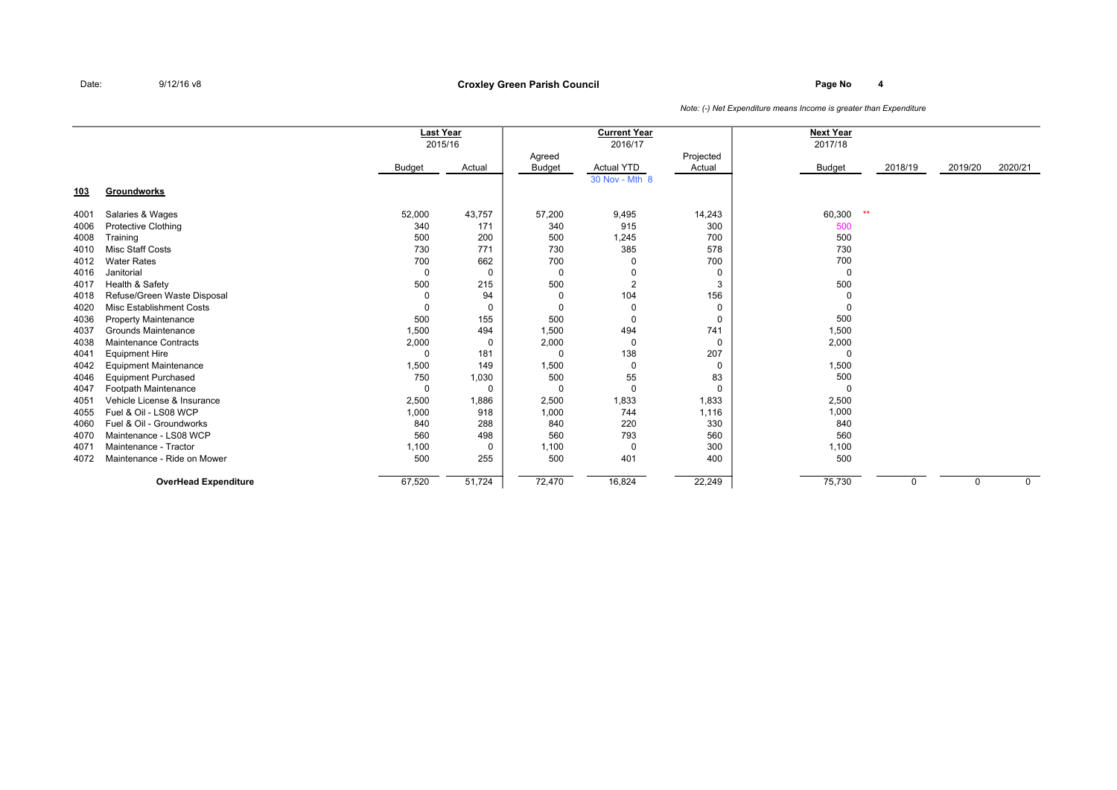### **Page No <sup>4</sup> Croxley Green Parish Council**

|      |                              | <b>Last Year</b> | 2015/16  |               | <b>Current Year</b><br>2016/17 |           | <b>Next Year</b><br>2017/18 |         |          |             |
|------|------------------------------|------------------|----------|---------------|--------------------------------|-----------|-----------------------------|---------|----------|-------------|
|      |                              |                  |          | Agreed        |                                | Projected |                             |         |          |             |
|      |                              | Budget           | Actual   | <b>Budget</b> | <b>Actual YTD</b>              | Actual    | <b>Budget</b>               | 2018/19 | 2019/20  | 2020/21     |
|      |                              |                  |          |               | 30 Nov - Mth 8                 |           |                             |         |          |             |
| 103  | Groundworks                  |                  |          |               |                                |           |                             |         |          |             |
| 4001 | Salaries & Wages             | 52,000           | 43,757   | 57,200        | 9,495                          | 14,243    | $*$<br>60,300               |         |          |             |
| 4006 | <b>Protective Clothing</b>   | 340              | 171      | 340           | 915                            | 300       | 500                         |         |          |             |
| 4008 | Training                     | 500              | 200      | 500           | 1,245                          | 700       | 500                         |         |          |             |
| 4010 | <b>Misc Staff Costs</b>      | 730              | 771      | 730           | 385                            | 578       | 730                         |         |          |             |
| 4012 | <b>Water Rates</b>           | 700              | 662      | 700           | $\Omega$                       | 700       | 700                         |         |          |             |
| 4016 | Janitorial                   | $\Omega$         | $\Omega$ | $\mathbf 0$   |                                | 0         | $\mathbf 0$                 |         |          |             |
| 4017 | Health & Safety              | 500              | 215      | 500           | $\overline{2}$                 | 3         | 500                         |         |          |             |
| 4018 | Refuse/Green Waste Disposal  | 0                | 94       | 0             | 104                            | 156       | $\Omega$                    |         |          |             |
| 4020 | Misc Establishment Costs     | $\Omega$         | $\Omega$ | $\Omega$      | $\Omega$                       | 0         | $\Omega$                    |         |          |             |
| 4036 | <b>Property Maintenance</b>  | 500              | 155      | 500           | $\Omega$                       | 0         | 500                         |         |          |             |
| 4037 | Grounds Maintenance          | 1,500            | 494      | 1,500         | 494                            | 741       | 1,500                       |         |          |             |
| 4038 | <b>Maintenance Contracts</b> | 2,000            | 0        | 2,000         | $\mathbf 0$                    | 0         | 2,000                       |         |          |             |
| 4041 | <b>Equipment Hire</b>        | $\Omega$         | 181      | $\Omega$      | 138                            | 207       | $\Omega$                    |         |          |             |
| 4042 | <b>Equipment Maintenance</b> | 1,500            | 149      | 1,500         | $\Omega$                       | 0         | 1,500                       |         |          |             |
| 4046 | <b>Equipment Purchased</b>   | 750              | 1,030    | 500           | 55                             | 83        | 500                         |         |          |             |
| 4047 | Footpath Maintenance         | $\Omega$         | $\Omega$ | 0             | $\mathbf 0$                    | $\Omega$  | $\Omega$                    |         |          |             |
| 4051 | Vehicle License & Insurance  | 2,500            | 1,886    | 2,500         | 1,833                          | 1,833     | 2,500                       |         |          |             |
| 4055 | Fuel & Oil - LS08 WCP        | 1,000            | 918      | 1,000         | 744                            | 1,116     | 1,000                       |         |          |             |
| 4060 | Fuel & Oil - Groundworks     | 840              | 288      | 840           | 220                            | 330       | 840                         |         |          |             |
| 4070 | Maintenance - LS08 WCP       | 560              | 498      | 560           | 793                            | 560       | 560                         |         |          |             |
| 4071 | Maintenance - Tractor        | 1,100            | $\Omega$ | 1,100         | 0                              | 300       | 1,100                       |         |          |             |
| 4072 | Maintenance - Ride on Mower  | 500              | 255      | 500           | 401                            | 400       | 500                         |         |          |             |
|      | <b>OverHead Expenditure</b>  | 67,520           | 51,724   | 72,470        | 16,824                         | 22,249    | 75,730                      |         | $\Omega$ | $\mathbf 0$ |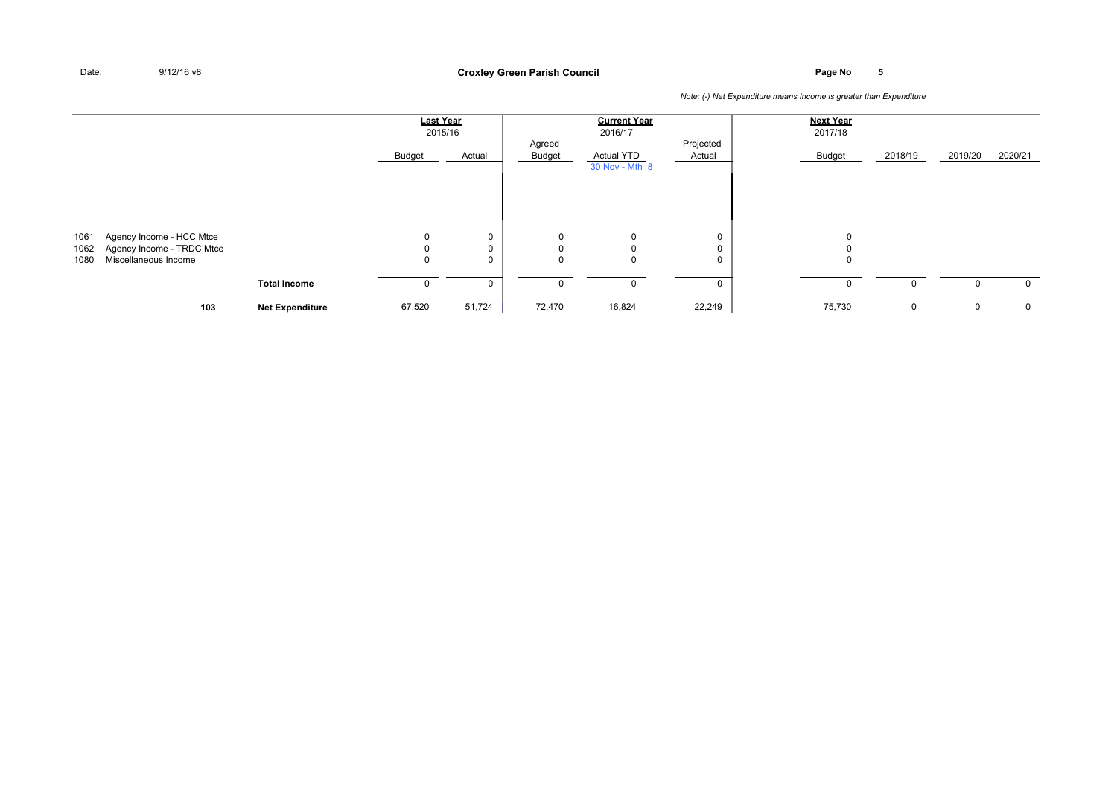**Page No <sup>5</sup> Croxley Green Parish Council**

| <b>Last Year</b><br><b>Current Year</b><br><b>Next Year</b><br>2017/18<br>2016/17<br>2015/16<br>Projected<br>Agreed<br>2019/20<br>Budget<br>2018/19<br>Actual<br><b>Budget</b><br><b>Actual YTD</b><br>Actual<br>Budget<br>30 Nov - Mth 8<br>$\mathbf 0$<br>Agency Income - HCC Mtce<br>0<br>1061<br>0<br>0<br>0<br>$\mathbf 0$<br>Agency Income - TRDC Mtce<br>1062<br>0<br>0<br>0<br>0<br>Miscellaneous Income<br>$\mathbf 0$<br>0<br>1080<br>0<br>$\mathbf 0$<br>0 |  |  |  |  |  |              |
|-----------------------------------------------------------------------------------------------------------------------------------------------------------------------------------------------------------------------------------------------------------------------------------------------------------------------------------------------------------------------------------------------------------------------------------------------------------------------|--|--|--|--|--|--------------|
|                                                                                                                                                                                                                                                                                                                                                                                                                                                                       |  |  |  |  |  |              |
|                                                                                                                                                                                                                                                                                                                                                                                                                                                                       |  |  |  |  |  |              |
|                                                                                                                                                                                                                                                                                                                                                                                                                                                                       |  |  |  |  |  |              |
|                                                                                                                                                                                                                                                                                                                                                                                                                                                                       |  |  |  |  |  | 2020/21      |
|                                                                                                                                                                                                                                                                                                                                                                                                                                                                       |  |  |  |  |  |              |
|                                                                                                                                                                                                                                                                                                                                                                                                                                                                       |  |  |  |  |  |              |
|                                                                                                                                                                                                                                                                                                                                                                                                                                                                       |  |  |  |  |  |              |
|                                                                                                                                                                                                                                                                                                                                                                                                                                                                       |  |  |  |  |  |              |
|                                                                                                                                                                                                                                                                                                                                                                                                                                                                       |  |  |  |  |  |              |
|                                                                                                                                                                                                                                                                                                                                                                                                                                                                       |  |  |  |  |  |              |
|                                                                                                                                                                                                                                                                                                                                                                                                                                                                       |  |  |  |  |  |              |
|                                                                                                                                                                                                                                                                                                                                                                                                                                                                       |  |  |  |  |  |              |
|                                                                                                                                                                                                                                                                                                                                                                                                                                                                       |  |  |  |  |  |              |
|                                                                                                                                                                                                                                                                                                                                                                                                                                                                       |  |  |  |  |  |              |
| <b>Total Income</b><br>0<br>0<br>0<br>$\Omega$                                                                                                                                                                                                                                                                                                                                                                                                                        |  |  |  |  |  | $\mathbf{0}$ |
|                                                                                                                                                                                                                                                                                                                                                                                                                                                                       |  |  |  |  |  |              |
| 22,249<br>51,724<br>72,470<br>16,824<br>75,730<br>103<br>67,520<br>0<br>0<br><b>Net Expenditure</b>                                                                                                                                                                                                                                                                                                                                                                   |  |  |  |  |  | $\mathbf 0$  |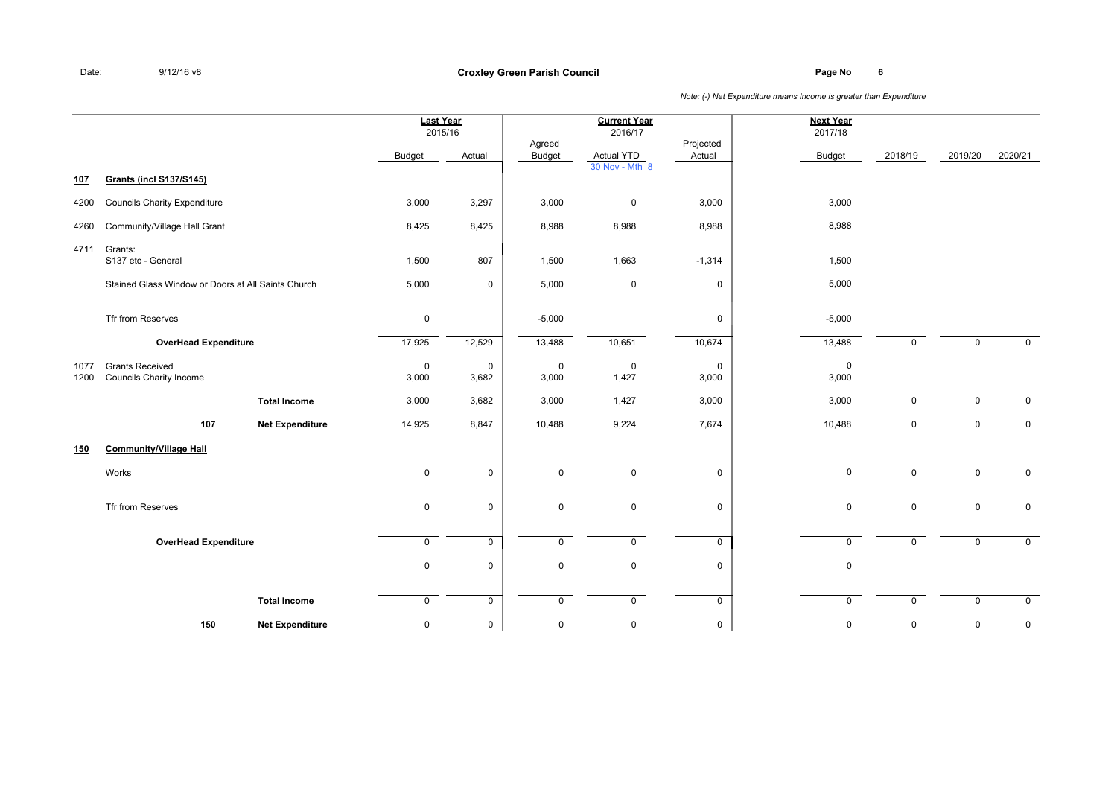**Page No <sup>6</sup> Croxley Green Parish Council**

|              |                                                          |                        | Last Year<br>2015/16    |                      |                      | <b>Current Year</b><br>2016/17 |                      | <b>Next Year</b><br>2017/18 |              |             |             |
|--------------|----------------------------------------------------------|------------------------|-------------------------|----------------------|----------------------|--------------------------------|----------------------|-----------------------------|--------------|-------------|-------------|
|              |                                                          |                        | <b>Budget</b>           | Actual               | Agreed<br>Budget     | Actual YTD                     | Projected<br>Actual  | <b>Budget</b>               | 2018/19      | 2019/20     | 2020/21     |
| 107          | <b>Grants (incl S137/S145)</b>                           |                        |                         |                      |                      | 30 Nov - Mth 8                 |                      |                             |              |             |             |
| 4200         | <b>Councils Charity Expenditure</b>                      |                        | 3,000                   | 3,297                | 3,000                | $\mathbf 0$                    | 3,000                | 3,000                       |              |             |             |
| 4260         | Community/Village Hall Grant                             |                        | 8,425                   | 8,425                | 8,988                | 8,988                          | 8,988                | 8,988                       |              |             |             |
| 4711         | Grants:<br>S137 etc - General                            |                        | 1,500                   | 807                  | 1,500                | 1,663                          | $-1,314$             | 1,500                       |              |             |             |
|              | Stained Glass Window or Doors at All Saints Church       |                        | 5,000                   | 0                    | 5,000                | 0                              | $\mathbf 0$          | 5,000                       |              |             |             |
|              | Tfr from Reserves                                        |                        | $\pmb{0}$               |                      | $-5,000$             |                                | $\mathbf 0$          | $-5,000$                    |              |             |             |
|              | <b>OverHead Expenditure</b>                              |                        | 17,925                  | 12,529               | 13,488               | 10,651                         | 10,674               | 13,488                      | $\Omega$     | $\mathbf 0$ | $\mathbf 0$ |
| 1077<br>1200 | <b>Grants Received</b><br><b>Councils Charity Income</b> |                        | $\mathbf 0$<br>3,000    | $\mathbf 0$<br>3,682 | $\mathbf 0$<br>3,000 | $\mathbf 0$<br>1,427           | $\mathbf 0$<br>3,000 | $\mathbf 0$<br>3,000        |              |             |             |
|              |                                                          | <b>Total Income</b>    | 3,000                   | 3,682                | 3,000                | 1,427                          | 3,000                | 3,000                       | $\mathbf 0$  | $\mathbf 0$ | $\mathbf 0$ |
|              | 107                                                      | <b>Net Expenditure</b> | 14,925                  | 8,847                | 10,488               | 9,224                          | 7,674                | 10,488                      | $\mathbf 0$  | $\mathbf 0$ | $\mathbf 0$ |
| <u>150</u>   | <b>Community/Village Hall</b>                            |                        |                         |                      |                      |                                |                      |                             |              |             |             |
|              | Works                                                    |                        | $\pmb{0}$               | $\mathbf 0$          | $\mathbf 0$          | $\mathsf 0$                    | $\mathbf 0$          | $\mathbf 0$                 | $\mathbf 0$  | $\mathbf 0$ | $\mathbf 0$ |
|              | Tfr from Reserves                                        |                        | $\pmb{0}$               | 0                    | $\mathsf 0$          | $\mathsf 0$                    | $\mathbf 0$          | $\mathbf 0$                 | $\mathsf{O}$ | $\mathbf 0$ | $\mathbf 0$ |
|              | <b>OverHead Expenditure</b>                              |                        | $\mathsf{O}\phantom{0}$ | $\mathbf 0$          | $\mathbf 0$          | $\overline{0}$                 | $\mathbf 0$          | $\mathbf 0$                 | $\mathbf 0$  | $\mathbf 0$ | $\mathbf 0$ |
|              |                                                          |                        | $\mathbf 0$             | $\mathbf 0$          | $\mathbf 0$          | $\mathbf 0$                    | $\mathbf 0$          | $\mathbf 0$                 |              |             |             |
|              |                                                          | <b>Total Income</b>    | $\mathsf{O}$            | 0                    | $\mathbf 0$          | $\mathbf 0$                    | $\mathbf 0$          | $\mathbf 0$                 | $\mathbf 0$  | $\mathbf 0$ | $\mathbf 0$ |
|              | 150                                                      | <b>Net Expenditure</b> | $\pmb{0}$               | 0                    | $\mathsf 0$          | 0                              | $\mathsf 0$          | $\mathsf 0$                 | $\pmb{0}$    | $\mathbf 0$ | $\pmb{0}$   |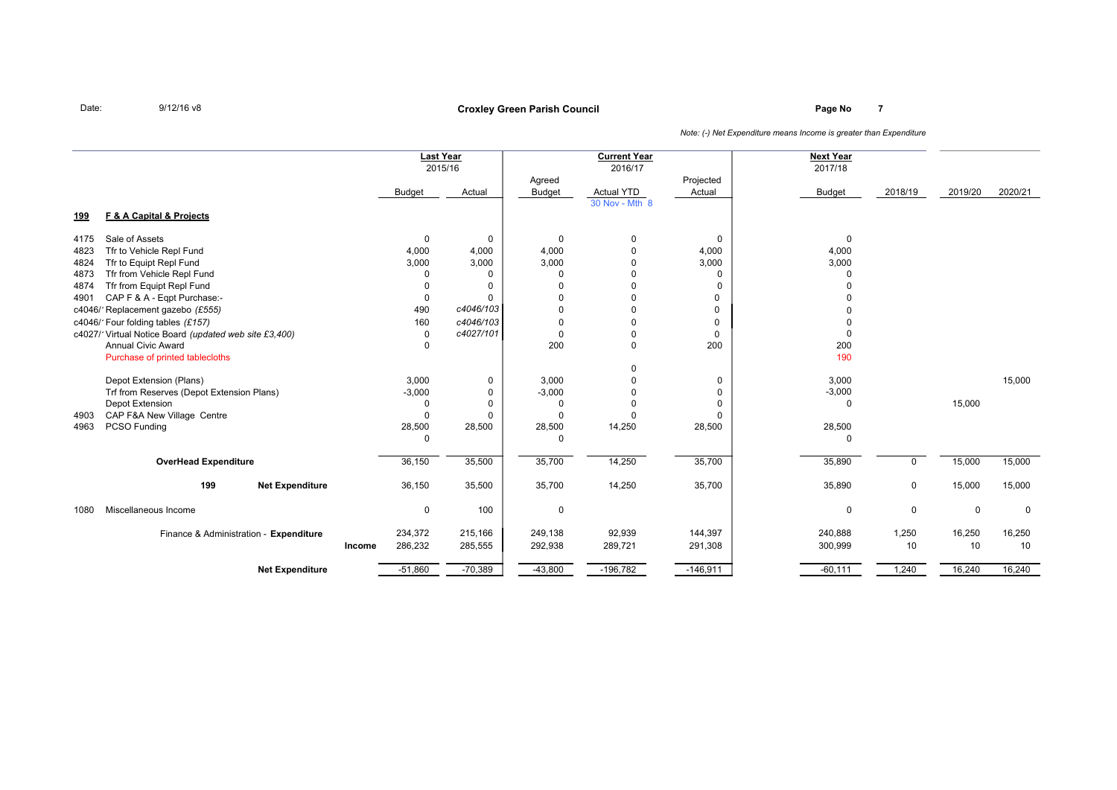## **Page No <sup>7</sup> Croxley Green Parish Council**

|            |                                                       |        | <b>Last Year</b> | 2015/16        |                         | <b>Current Year</b><br>2016/17 |                     | <b>Next Year</b><br>2017/18 |             |             |             |
|------------|-------------------------------------------------------|--------|------------------|----------------|-------------------------|--------------------------------|---------------------|-----------------------------|-------------|-------------|-------------|
|            |                                                       |        | <b>Budget</b>    | Actual         | Agreed<br><b>Budget</b> | <b>Actual YTD</b>              | Projected<br>Actual | <b>Budget</b>               | 2018/19     | 2019/20     | 2020/21     |
| <u>199</u> | F & A Capital & Projects                              |        |                  |                |                         | 30 Nov - Mth 8                 |                     |                             |             |             |             |
| 4175       | Sale of Assets                                        |        | $\mathbf 0$      | $\mathbf 0$    | $\mathbf 0$             | 0                              | $\mathbf 0$         | $\mathbf 0$                 |             |             |             |
| 4823       | Tfr to Vehicle Repl Fund                              |        | 4,000            | 4,000          | 4,000                   | $\Omega$                       | 4,000               | 4,000                       |             |             |             |
| 4824       | Tfr to Equipt Repl Fund                               |        | 3,000            | 3,000          | 3,000                   |                                | 3,000               | 3,000                       |             |             |             |
| 4873       | Tfr from Vehicle Repl Fund                            |        | $\Omega$         | $\mathbf 0$    | $\Omega$                |                                | $\Omega$            | $\Omega$                    |             |             |             |
| 4874       | Tfr from Equipt Repl Fund                             |        | $\Omega$         | $\overline{0}$ | $\Omega$                |                                | $\Omega$            |                             |             |             |             |
| 4901       | CAP F & A - Eqpt Purchase:-                           |        | 0                | $\mathbf 0$    | $\Omega$                | O                              | 0                   |                             |             |             |             |
|            | c4046/1Replacement gazebo (£555)                      |        | 490              | c4046/103      | $\Omega$                | 0                              | $\mathbf 0$         | $\Omega$                    |             |             |             |
|            | c4046/1Four folding tables (£157)                     |        | 160              | c4046/103      | $\Omega$                | O                              | $\Omega$            | $\Omega$                    |             |             |             |
|            | c4027/1Virtual Notice Board (updated web site £3,400) |        | 0                | c4027/101      | $\Omega$                | $\Omega$                       | $\Omega$            | $\Omega$                    |             |             |             |
|            | <b>Annual Civic Award</b>                             |        | $\Omega$         |                | 200                     | $\Omega$                       | 200                 | 200                         |             |             |             |
|            | Purchase of printed tablecloths                       |        |                  |                |                         |                                |                     | 190                         |             |             |             |
|            |                                                       |        |                  |                |                         | 0                              |                     |                             |             |             |             |
|            | Depot Extension (Plans)                               |        | 3,000            | 0              | 3,000                   | $\Omega$                       | 0                   | 3,000                       |             |             | 15,000      |
|            | Trf from Reserves (Depot Extension Plans)             |        | $-3,000$         | $\mathbf 0$    | $-3,000$                | n                              | 0                   | $-3,000$                    |             |             |             |
|            | Depot Extension                                       |        | $\Omega$         | $\mathbf 0$    | $\Omega$                |                                | $\Omega$            | $\Omega$                    |             | 15,000      |             |
| 4903       | CAP F&A New Village Centre                            |        | $\Omega$         | $\mathbf 0$    | $\Omega$                | $\Omega$                       | $\Omega$            |                             |             |             |             |
| 4963       | PCSO Funding                                          |        | 28,500           | 28,500         | 28,500                  | 14,250                         | 28,500              | 28,500                      |             |             |             |
|            |                                                       |        | $\Omega$         |                | $\Omega$                |                                |                     | $\Omega$                    |             |             |             |
|            | <b>OverHead Expenditure</b>                           |        | 36,150           | 35,500         | 35,700                  | 14,250                         | 35,700              | 35,890                      | $\Omega$    | 15,000      | 15,000      |
|            | 199<br><b>Net Expenditure</b>                         |        | 36,150           | 35,500         | 35,700                  | 14,250                         | 35,700              | 35,890                      | $\mathbf 0$ | 15,000      | 15,000      |
| 1080       | Miscellaneous Income                                  |        | $\mathbf 0$      | 100            | $\mathbf 0$             |                                |                     | 0                           | $\mathbf 0$ | $\mathbf 0$ | $\mathbf 0$ |
|            | Finance & Administration - Expenditure                |        | 234,372          | 215,166        | 249,138                 | 92,939                         | 144,397             | 240,888                     | 1,250       | 16,250      | 16,250      |
|            |                                                       | Income | 286,232          | 285,555        | 292,938                 | 289,721                        | 291,308             | 300,999                     | 10          | 10          | 10          |
|            | <b>Net Expenditure</b>                                |        | $-51,860$        | $-70,389$      | $-43,800$               | $-196,782$                     | $-146,911$          | $-60,111$                   | 1,240       | 16,240      | 16,240      |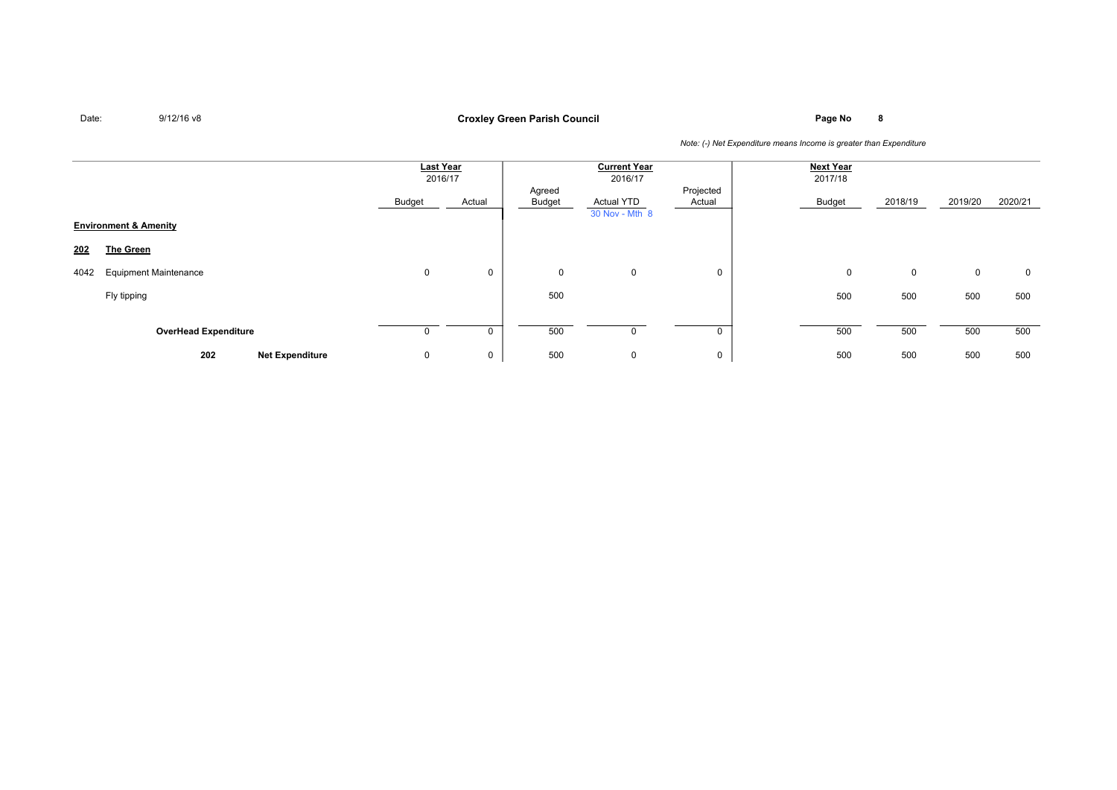**Page No <sup>8</sup> Croxley Green Parish Council**

|      |                                  |                        | <b>Last Year</b><br>2016/17 |        |                  | <b>Current Year</b><br>2016/17 |                     | <b>Next Year</b><br>2017/18 |         |             |         |
|------|----------------------------------|------------------------|-----------------------------|--------|------------------|--------------------------------|---------------------|-----------------------------|---------|-------------|---------|
|      |                                  |                        | Budget                      | Actual | Agreed<br>Budget | Actual YTD<br>30 Nov - Mth 8   | Projected<br>Actual | Budget                      | 2018/19 | 2019/20     | 2020/21 |
|      | <b>Environment &amp; Amenity</b> |                        |                             |        |                  |                                |                     |                             |         |             |         |
| 202  | <b>The Green</b>                 |                        |                             |        |                  |                                |                     |                             |         |             |         |
| 4042 | <b>Equipment Maintenance</b>     |                        | 0                           | 0      | 0                | 0                              | 0                   | 0                           | 0       | $\mathbf 0$ | 0       |
|      | Fly tipping                      |                        |                             |        | 500              |                                |                     | 500                         | 500     | 500         | 500     |
|      |                                  |                        |                             |        |                  |                                |                     |                             |         |             |         |
|      | <b>OverHead Expenditure</b>      |                        |                             |        | 500              |                                | 0                   | 500                         | 500     | 500         | 500     |
|      | 202                              | <b>Net Expenditure</b> | 0                           | 0      | 500              | 0                              | 0                   | 500                         | 500     | 500         | 500     |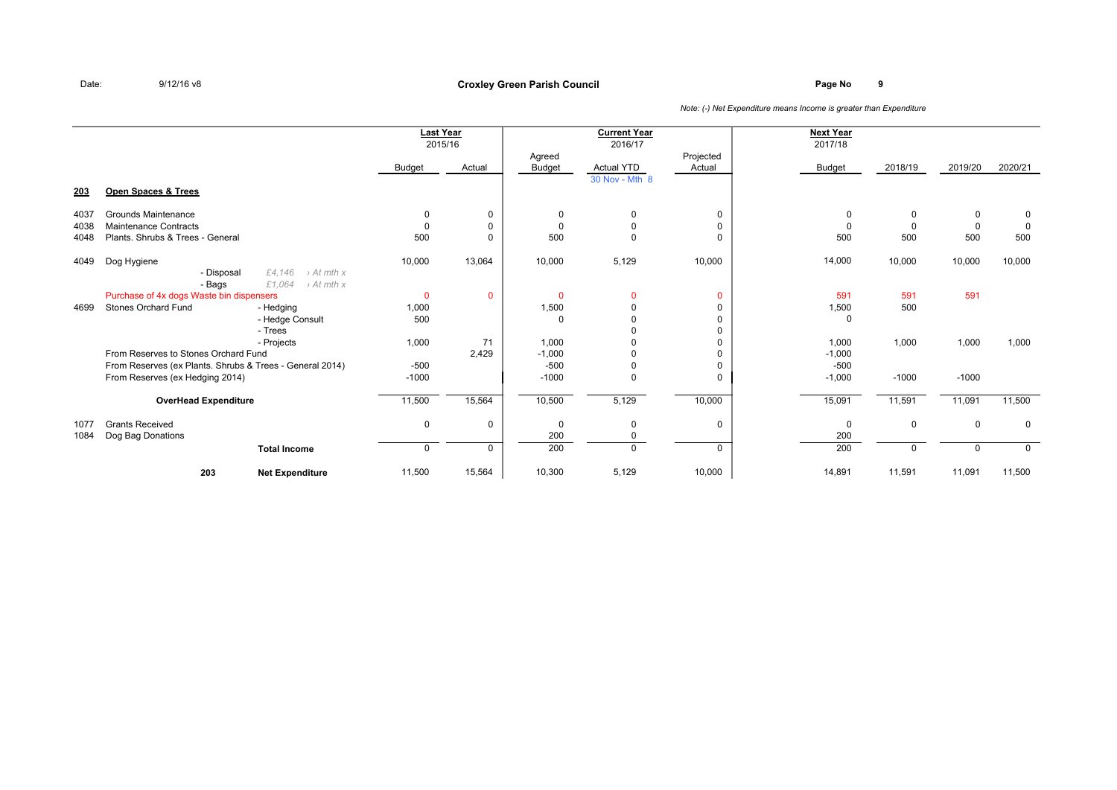## **Page No <sup>9</sup> Croxley Green Parish Council**

|      |                                                          |                        | <b>Last Year</b><br>2015/16 |                         | <b>Current Year</b><br>2016/17 |                     | <b>Next Year</b><br>2017/18 |          |          |             |
|------|----------------------------------------------------------|------------------------|-----------------------------|-------------------------|--------------------------------|---------------------|-----------------------------|----------|----------|-------------|
|      |                                                          | Budget                 | Actual                      | Agreed<br><b>Budget</b> | <b>Actual YTD</b>              | Projected<br>Actual | Budget                      | 2018/19  | 2019/20  | 2020/21     |
| 203  | Open Spaces & Trees                                      |                        |                             |                         | 30 Nov - Mth 8                 |                     |                             |          |          |             |
| 4037 | Grounds Maintenance                                      | 0                      | 0                           |                         | 0                              | $\mathbf 0$         | $\Omega$                    | $\Omega$ | 0        | $\mathbf 0$ |
| 4038 | <b>Maintenance Contracts</b>                             | $\Omega$               | 0                           | $\Omega$                |                                | 0                   | $\Omega$                    | $\Omega$ | $\Omega$ |             |
| 4048 | Plants, Shrubs & Trees - General                         | 500                    | $\mathbf{0}$                | 500                     | 0                              | $\Omega$            | 500                         | 500      | 500      | 500         |
| 4049 | Dog Hygiene                                              | 10,000                 | 13,064                      | 10,000                  | 5,129                          | 10,000              | 14,000                      | 10,000   | 10,000   | 10,000      |
|      | £4,146<br>- Disposal                                     | $\rightarrow$ At mth x |                             |                         |                                |                     |                             |          |          |             |
|      | £1,064<br>- Bags                                         | $\rightarrow$ At mth x |                             |                         |                                |                     |                             |          |          |             |
|      | Purchase of 4x dogs Waste bin dispensers                 | $\mathbf{0}$           | 0                           | $\Omega$                | $\mathbf{0}$                   | $\mathbf{0}$        | 591                         | 591      | 591      |             |
| 4699 | <b>Stones Orchard Fund</b><br>- Hedging                  | 1,000                  |                             | 1,500                   |                                | $\Omega$            | 1,500                       | 500      |          |             |
|      | - Hedge Consult                                          | 500                    |                             | $\Omega$                |                                | $\Omega$            | $\Omega$                    |          |          |             |
|      | - Trees                                                  |                        |                             |                         |                                | $\Omega$            |                             |          |          |             |
|      | - Projects                                               | 1,000                  | 71                          | 1,000                   |                                | $\Omega$            | 1,000                       | 1,000    | 1,000    | 1,000       |
|      | From Reserves to Stones Orchard Fund                     |                        | 2,429                       | $-1,000$                |                                | $\Omega$            | $-1,000$                    |          |          |             |
|      | From Reserves (ex Plants. Shrubs & Trees - General 2014) | $-500$                 |                             | $-500$                  |                                | $\Omega$            | $-500$                      |          |          |             |
|      | From Reserves (ex Hedging 2014)                          | $-1000$                |                             | $-1000$                 | 0                              | $\Omega$            | $-1,000$                    | $-1000$  | $-1000$  |             |
|      | <b>OverHead Expenditure</b>                              | 11,500                 | 15,564                      | 10,500                  | 5,129                          | 10,000              | 15,091                      | 11,591   | 11,091   | 11,500      |
| 1077 | <b>Grants Received</b>                                   | $\mathbf 0$            | 0                           | $\Omega$                | 0                              | $\mathbf 0$         | $\mathbf 0$                 | $\Omega$ | 0        | 0           |
| 1084 | Dog Bag Donations                                        |                        |                             | 200                     |                                |                     | 200                         |          |          |             |
|      | <b>Total Income</b>                                      | $\mathbf 0$            | 0                           | 200                     | $\Omega$                       | $\mathbf{0}$        | 200                         |          | $\Omega$ | $\Omega$    |
|      | 203<br><b>Net Expenditure</b>                            | 11,500                 | 15,564                      | 10,300                  | 5,129                          | 10,000              | 14,891                      | 11,591   | 11,091   | 11,500      |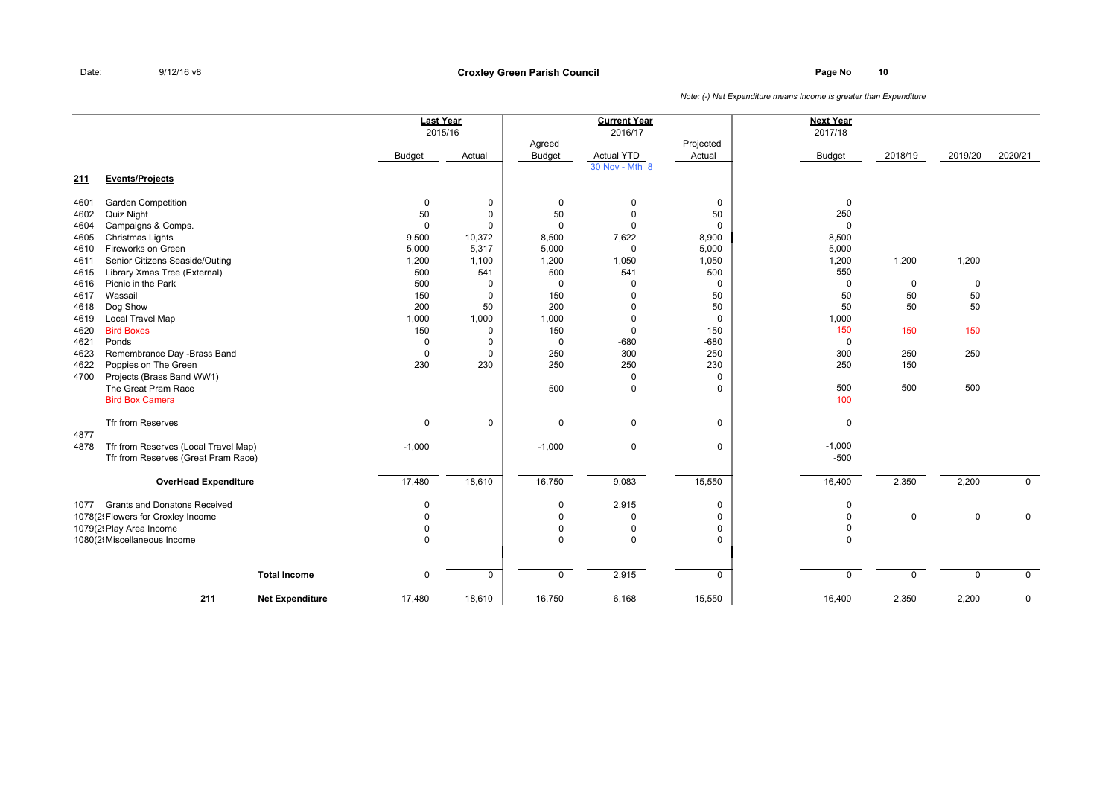**Page No <sup>10</sup> Croxley Green Parish Council**

|      |                                      | <b>Last Year</b><br>2015/16 |             |                  | <b>Current Year</b><br>2016/17 |                     | <b>Next Year</b><br>2017/18 |             |             |             |
|------|--------------------------------------|-----------------------------|-------------|------------------|--------------------------------|---------------------|-----------------------------|-------------|-------------|-------------|
|      |                                      | Budget                      | Actual      | Agreed<br>Budget | <b>Actual YTD</b>              | Projected<br>Actual | Budget                      | 2018/19     | 2019/20     | 2020/21     |
| 211  | <b>Events/Projects</b>               |                             |             |                  | 30 Nov - Mth 8                 |                     |                             |             |             |             |
| 4601 | <b>Garden Competition</b>            | $\mathbf 0$                 | $\mathbf 0$ | $\pmb{0}$        | $\Omega$                       | 0                   | $\mathbf 0$                 |             |             |             |
| 4602 | <b>Quiz Night</b>                    | 50                          | 0           | 50               | $\Omega$                       | 50                  | 250                         |             |             |             |
| 4604 | Campaigns & Comps.                   | $\mathbf 0$                 | $\mathbf 0$ | $\Omega$         | $\Omega$                       | $\mathbf 0$         | $\Omega$                    |             |             |             |
| 4605 | Christmas Lights                     | 9,500                       | 10,372      | 8,500            | 7,622                          | 8,900               | 8,500                       |             |             |             |
| 4610 | Fireworks on Green                   | 5,000                       | 5,317       | 5,000            | $\mathbf 0$                    | 5,000               | 5,000                       |             |             |             |
| 4611 | Senior Citizens Seaside/Outing       | 1,200                       | 1,100       | 1,200            | 1,050                          | 1,050               | 1,200                       | 1,200       | 1,200       |             |
| 4615 | Library Xmas Tree (External)         | 500                         | 541         | 500              | 541                            | 500                 | 550                         |             |             |             |
| 4616 | Picnic in the Park                   | 500                         | 0           | $\mathbf 0$      | $\Omega$                       | 0                   | $\mathbf 0$                 | 0           | 0           |             |
| 4617 | Wassail                              | 150                         | $\mathbf 0$ | 150              | $\Omega$                       | 50                  | 50                          | 50          | 50          |             |
| 4618 | Dog Show                             | 200                         | 50          | 200              | $\Omega$                       | 50                  | 50                          | 50          | 50          |             |
| 4619 | <b>Local Travel Map</b>              | 1,000                       | 1,000       | 1,000            | $\Omega$                       | $\mathbf 0$         | 1,000                       |             |             |             |
| 4620 | <b>Bird Boxes</b>                    | 150                         | 0           | 150              | 0                              | 150                 | 150                         | 150         | 150         |             |
| 4621 | Ponds                                | $\Omega$                    | 0           | 0                | $-680$                         | $-680$              | $\mathbf 0$                 |             |             |             |
| 4623 | Remembrance Day -Brass Band          | $\Omega$                    | $\mathbf 0$ | 250              | 300                            | 250                 | 300                         | 250         | 250         |             |
| 4622 | Poppies on The Green                 | 230                         | 230         | 250              | 250                            | 230                 | 250                         | 150         |             |             |
| 4700 | Projects (Brass Band WW1)            |                             |             |                  | 0                              | $\mathbf 0$         |                             |             |             |             |
|      | The Great Pram Race                  |                             |             | 500              | $\mathbf 0$                    | 0                   | 500                         | 500         | 500         |             |
|      | <b>Bird Box Camera</b>               |                             |             |                  |                                |                     | 100                         |             |             |             |
|      | <b>Tfr from Reserves</b>             | 0                           | 0           | 0                | $\mathbf 0$                    | 0                   | 0                           |             |             |             |
| 4877 |                                      |                             |             |                  |                                |                     |                             |             |             |             |
| 4878 | Tfr from Reserves (Local Travel Map) | $-1,000$                    |             | $-1,000$         | $\mathbf 0$                    | 0                   | $-1,000$<br>$-500$          |             |             |             |
|      | Tfr from Reserves (Great Pram Race)  |                             |             |                  |                                |                     |                             |             |             |             |
|      | <b>OverHead Expenditure</b>          | 17,480                      | 18,610      | 16,750           | 9,083                          | 15,550              | 16,400                      | 2,350       | 2,200       | $\mathbf 0$ |
| 1077 | <b>Grants and Donatons Received</b>  | 0                           |             | 0                | 2,915                          | 0                   | 0                           |             |             |             |
|      | 1078(2! Flowers for Croxley Income   | 0                           |             | $\mathbf 0$      | $\Omega$                       | 0                   | $\mathbf 0$                 | $\mathbf 0$ | 0           | $\mathbf 0$ |
|      | 1079(2! Play Area Income             | $\Omega$                    |             | $\mathbf 0$      | $\mathbf 0$                    | 0                   | $\mathbf 0$                 |             |             |             |
|      | 1080(2! Miscellaneous Income         | $\Omega$                    |             | $\mathbf 0$      | $\Omega$                       | 0                   | 0                           |             |             |             |
|      |                                      |                             |             |                  |                                |                     |                             |             |             |             |
|      | <b>Total Income</b>                  | $\mathbf 0$                 | $\mathbf 0$ | $\mathsf{O}$     | 2,915                          | 0                   | 0                           | $\mathbf 0$ | $\mathbf 0$ | $\mathbf 0$ |
|      | 211<br><b>Net Expenditure</b>        | 17,480                      | 18,610      | 16,750           | 6,168                          | 15,550              | 16,400                      | 2,350       | 2,200       | $\pmb{0}$   |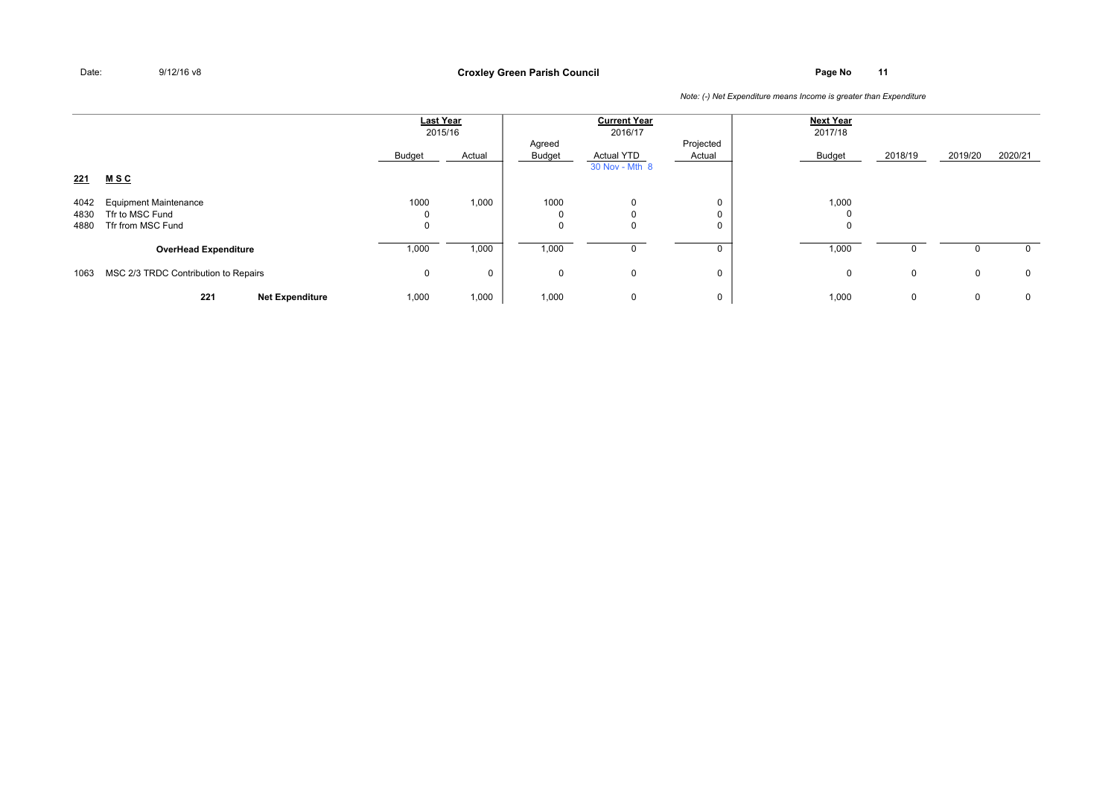**Page No <sup>11</sup> Croxley Green Parish Council**

|                      |                                                                      | <b>Last Year</b><br>2015/16 |             |                  | <b>Current Year</b><br>2016/17      |                     | <b>Next Year</b><br>2017/18 |         |             |              |
|----------------------|----------------------------------------------------------------------|-----------------------------|-------------|------------------|-------------------------------------|---------------------|-----------------------------|---------|-------------|--------------|
|                      |                                                                      | Budget                      | Actual      | Agreed<br>Budget | <b>Actual YTD</b><br>30 Nov - Mth 8 | Projected<br>Actual | Budget                      | 2018/19 | 2019/20     | 2020/21      |
| <u> 221</u>          | <u>MSC</u>                                                           |                             |             |                  |                                     |                     |                             |         |             |              |
| 4042<br>4830<br>4880 | <b>Equipment Maintenance</b><br>Tfr to MSC Fund<br>Tfr from MSC Fund | 1000<br>0                   | 1,000       | 1000             | $\Omega$                            | 0<br>0<br>0         | 1,000<br>υ                  |         |             |              |
|                      | <b>OverHead Expenditure</b>                                          | 1,000                       | 1,000       | 1,000            |                                     | 0                   | 1,000                       |         |             | 0            |
| 1063                 | MSC 2/3 TRDC Contribution to Repairs                                 | 0                           | $\mathbf 0$ | $\Omega$         | $\mathbf 0$                         | 0                   | 0                           | 0       | $\mathbf 0$ | $\mathbf{0}$ |
|                      | 221<br><b>Net Expenditure</b>                                        | 1,000                       | 1,000       | 1,000            | 0                                   | 0                   | 1,000                       | 0       | 0           | $\mathbf{0}$ |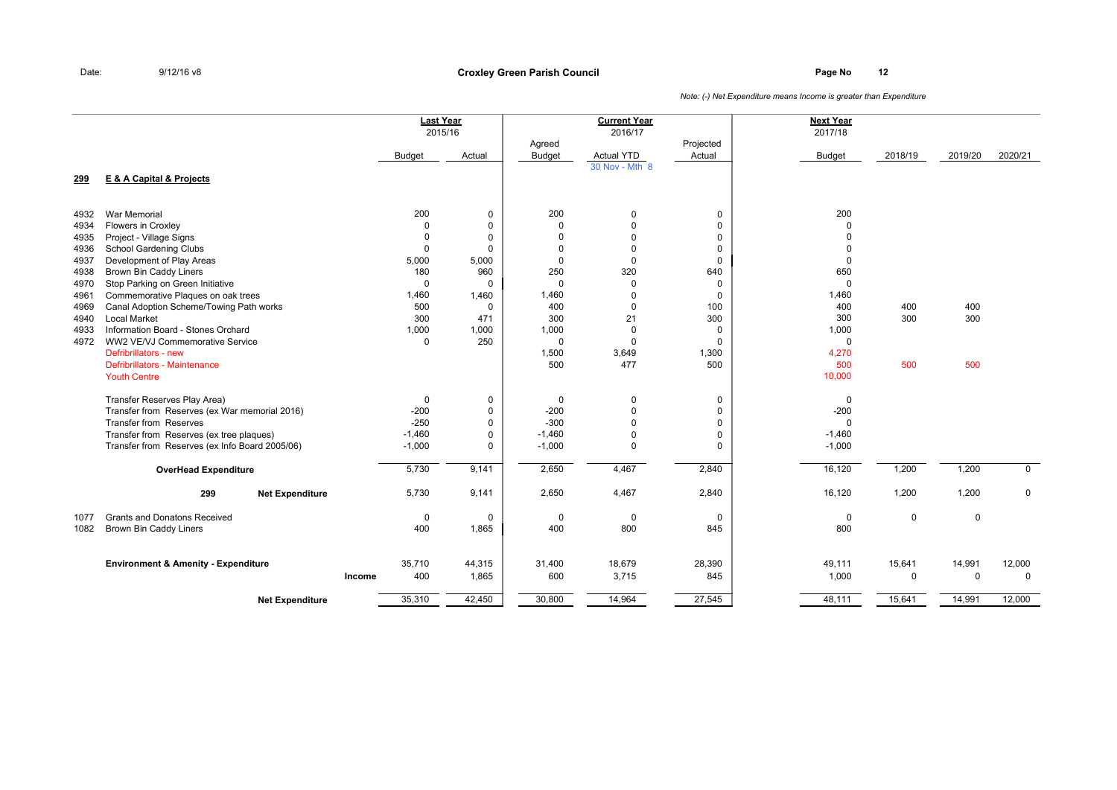|      |                                                |        | <b>Last Year</b><br>2015/16 |             |                         | <b>Current Year</b><br>2016/17 |                     | <b>Next Year</b><br>2017/18 |             |             |             |
|------|------------------------------------------------|--------|-----------------------------|-------------|-------------------------|--------------------------------|---------------------|-----------------------------|-------------|-------------|-------------|
|      |                                                |        | Budget                      | Actual      | Agreed<br><b>Budget</b> | <b>Actual YTD</b>              | Projected<br>Actual | <b>Budget</b>               | 2018/19     | 2019/20     | 2020/21     |
| 299  | <b>E &amp; A Capital &amp; Projects</b>        |        |                             |             |                         | 30 Nov - Mth 8                 |                     |                             |             |             |             |
| 4932 | <b>War Memorial</b>                            |        | 200                         | $\mathbf 0$ | 200                     | $\mathbf 0$                    | $\mathbf 0$         | 200                         |             |             |             |
| 4934 | Flowers in Croxley                             |        | 0                           | $\mathbf 0$ | $\mathbf 0$             | $\Omega$                       | $\mathbf 0$         | $\Omega$                    |             |             |             |
| 4935 | Project - Village Signs                        |        | $\Omega$                    | $\mathbf 0$ | $\Omega$                | $\Omega$                       | $\mathbf 0$         | $\Omega$                    |             |             |             |
| 4936 | School Gardening Clubs                         |        | $\Omega$                    | $\mathbf 0$ | $\Omega$                | $\Omega$                       | $\mathbf 0$         | $\Omega$                    |             |             |             |
| 4937 | Development of Play Areas                      |        | 5,000                       | 5,000       | $\Omega$                | $\Omega$                       | $\Omega$            | $\Omega$                    |             |             |             |
| 4938 | <b>Brown Bin Caddy Liners</b>                  |        | 180                         | 960         | 250                     | 320                            | 640                 | 650                         |             |             |             |
| 4970 | Stop Parking on Green Initiative               |        | 0                           | $\mathbf 0$ | $\Omega$                | $\mathbf 0$                    | $\mathbf 0$         | $\Omega$                    |             |             |             |
| 4961 | Commemorative Plaques on oak trees             |        | 1,460                       | 1,460       | 1,460                   | $\Omega$                       | $\mathbf 0$         | 1,460                       |             |             |             |
| 4969 | Canal Adoption Scheme/Towing Path works        |        | 500                         | $\mathbf 0$ | 400                     | $\Omega$                       | 100                 | 400                         | 400         | 400         |             |
| 4940 | <b>Local Market</b>                            |        | 300                         | 471         | 300                     | 21                             | 300                 | 300                         | 300         | 300         |             |
| 4933 | Information Board - Stones Orchard             |        | 1,000                       | 1,000       | 1,000                   | $\Omega$                       | $\mathbf 0$         | 1,000                       |             |             |             |
| 4972 | WW2 VE/VJ Commemorative Service                |        | 0                           | 250         | $\Omega$                | $\mathbf 0$                    | $\mathbf 0$         | $\Omega$                    |             |             |             |
|      | Defribrillators - new                          |        |                             |             | 1,500                   | 3,649                          | 1,300               | 4,270                       |             |             |             |
|      | Defribrillators - Maintenance                  |        |                             |             | 500                     | 477                            | 500                 | 500                         | 500         | 500         |             |
|      | <b>Youth Centre</b>                            |        |                             |             |                         |                                |                     | 10,000                      |             |             |             |
|      | Transfer Reserves Play Area)                   |        | 0                           | $\mathbf 0$ | 0                       | $\mathbf 0$                    | $\mathbf 0$         | $\mathbf 0$                 |             |             |             |
|      | Transfer from Reserves (ex War memorial 2016)  |        | $-200$                      | $\mathbf 0$ | $-200$                  | $\Omega$                       | $\mathbf 0$         | $-200$                      |             |             |             |
|      | Transfer from Reserves                         |        | $-250$                      | $\mathbf 0$ | $-300$                  | $\Omega$                       | $\Omega$            | $\Omega$                    |             |             |             |
|      | Transfer from Reserves (ex tree plaques)       |        | $-1,460$                    | $\pmb{0}$   | $-1,460$                | $\Omega$                       | $\mathbf 0$         | $-1,460$                    |             |             |             |
|      | Transfer from Reserves (ex Info Board 2005/06) |        | $-1,000$                    | $\mathbf 0$ | $-1,000$                | 0                              | $\Omega$            | $-1,000$                    |             |             |             |
|      | <b>OverHead Expenditure</b>                    |        | 5,730                       | 9,141       | 2,650                   | 4,467                          | 2,840               | 16,120                      | 1,200       | 1,200       | $\mathbf 0$ |
|      | 299<br><b>Net Expenditure</b>                  |        | 5,730                       | 9,141       | 2,650                   | 4,467                          | 2,840               | 16,120                      | 1,200       | 1,200       | $\mathbf 0$ |
| 1077 | <b>Grants and Donatons Received</b>            |        | $\mathbf 0$                 | $\mathbf 0$ | $\mathbf 0$             | $\mathbf 0$                    | $\mathbf 0$         | $\mathbf 0$                 | $\mathbf 0$ | $\mathbf 0$ |             |
| 1082 | Brown Bin Caddy Liners                         |        | 400                         | 1,865       | 400                     | 800                            | 845                 | 800                         |             |             |             |
|      | <b>Environment &amp; Amenity - Expenditure</b> |        | 35,710                      | 44,315      | 31,400                  | 18,679                         | 28,390              | 49,111                      | 15,641      | 14,991      | 12,000      |
|      |                                                | Income | 400                         | 1,865       | 600                     | 3,715                          | 845                 | 1,000                       | $\mathbf 0$ | $\mathbf 0$ | $\mathbf 0$ |
|      | <b>Net Expenditure</b>                         |        | 35,310                      | 42,450      | 30,800                  | 14,964                         | 27,545              | 48,111                      | 15,641      | 14,991      | 12,000      |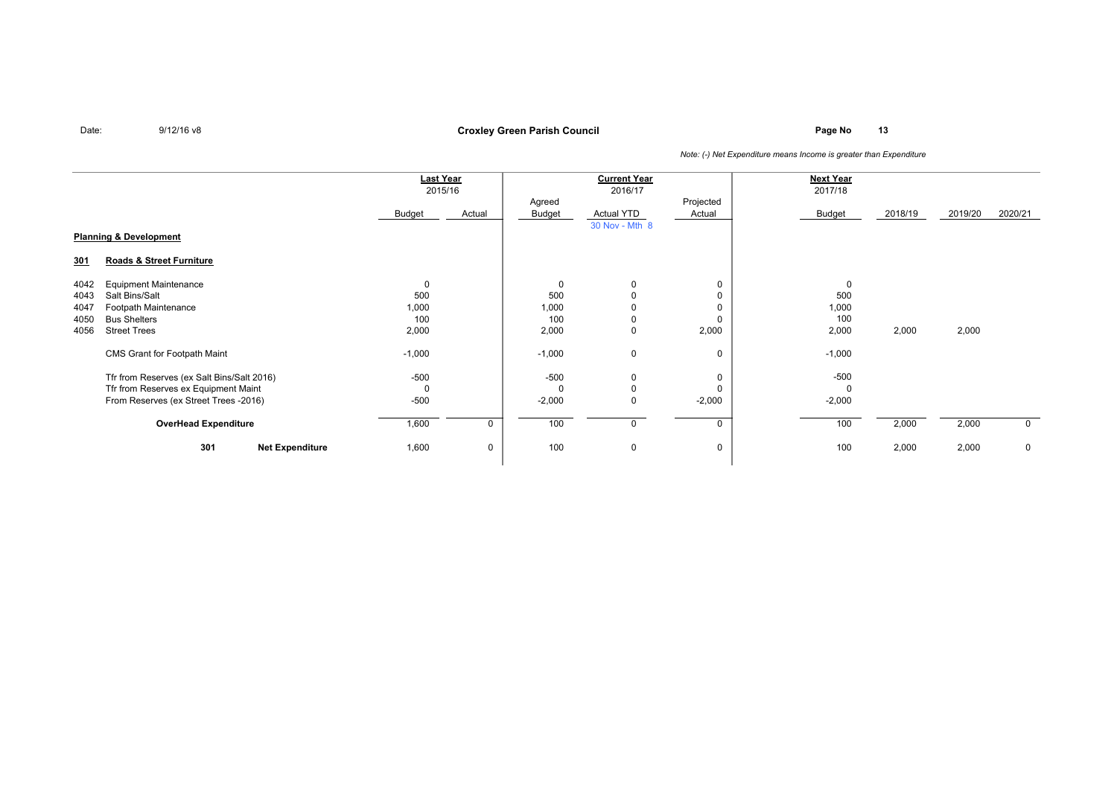### **Page No <sup>13</sup> Croxley Green Parish Council**

|  |  |  |  | Note: (-) Net Expenditure means Income is greater than Expenditure |  |  |  |  |  |  |  |  |
|--|--|--|--|--------------------------------------------------------------------|--|--|--|--|--|--|--|--|
|--|--|--|--|--------------------------------------------------------------------|--|--|--|--|--|--|--|--|

|      | <b>Last Year</b><br>2015/16                |          |        |          | <b>Current Year</b><br>2016/17 |             | <b>Next Year</b><br>2017/18 |         |         |             |
|------|--------------------------------------------|----------|--------|----------|--------------------------------|-------------|-----------------------------|---------|---------|-------------|
|      |                                            |          |        | Agreed   |                                | Projected   |                             |         |         |             |
|      |                                            | Budget   | Actual | Budget   | Actual YTD                     | Actual      | Budget                      | 2018/19 | 2019/20 | 2020/21     |
|      |                                            |          |        |          | 30 Nov - Mth 8                 |             |                             |         |         |             |
|      | <b>Planning &amp; Development</b>          |          |        |          |                                |             |                             |         |         |             |
| 301  | Roads & Street Furniture                   |          |        |          |                                |             |                             |         |         |             |
| 4042 | <b>Equipment Maintenance</b>               | 0        |        | 0        | 0                              | $\mathbf 0$ | $\mathbf 0$                 |         |         |             |
| 4043 | Salt Bins/Salt                             | 500      |        | 500      | 0                              | 0           | 500                         |         |         |             |
| 4047 | Footpath Maintenance                       | 1,000    |        | 1,000    |                                | $\mathbf 0$ | 1,000                       |         |         |             |
| 4050 | <b>Bus Shelters</b>                        | 100      |        | 100      | 0                              | $\mathbf 0$ | 100                         |         |         |             |
| 4056 | <b>Street Trees</b>                        | 2,000    |        | 2,000    | 0                              | 2,000       | 2,000                       | 2,000   | 2,000   |             |
|      | CMS Grant for Footpath Maint               | $-1,000$ |        | $-1,000$ | 0                              | 0           | $-1,000$                    |         |         |             |
|      | Tfr from Reserves (ex Salt Bins/Salt 2016) | -500     |        | $-500$   | 0                              | 0           | $-500$                      |         |         |             |
|      | Tfr from Reserves ex Equipment Maint       | $\Omega$ |        | $\Omega$ | $\Omega$                       | $\Omega$    | $\Omega$                    |         |         |             |
|      | From Reserves (ex Street Trees -2016)      | $-500$   |        | $-2,000$ | 0                              | $-2,000$    | $-2,000$                    |         |         |             |
|      | <b>OverHead Expenditure</b>                | 1,600    | 0      | 100      | 0                              | 0           | 100                         | 2,000   | 2,000   | $\mathbf 0$ |
|      | 301<br><b>Net Expenditure</b>              | 1,600    | 0      | 100      | $\mathbf 0$                    | $\mathbf 0$ | 100                         | 2,000   | 2,000   | $\mathbf 0$ |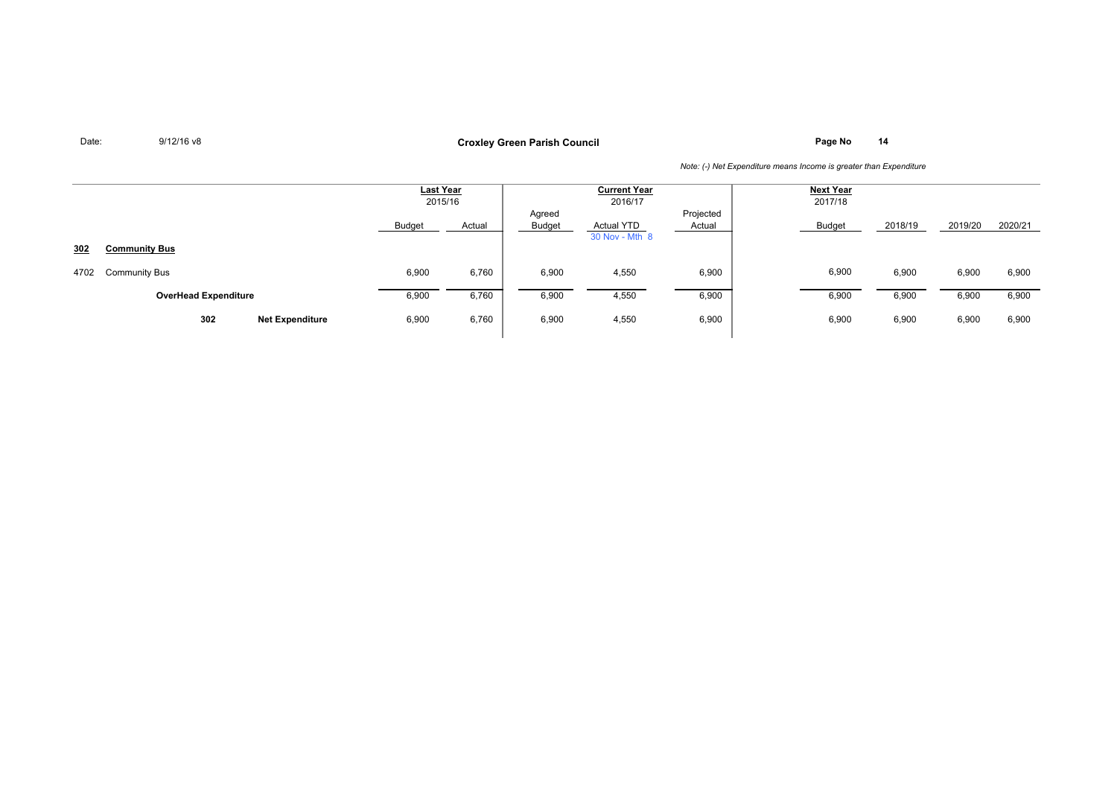**Page No <sup>14</sup> Croxley Green Parish Council**

|      |                               | <b>Last Year</b> | 2015/16 |                  | <b>Current Year</b><br>2016/17 |                     | <b>Next Year</b><br>2017/18 |         |         |         |
|------|-------------------------------|------------------|---------|------------------|--------------------------------|---------------------|-----------------------------|---------|---------|---------|
|      |                               | Budget           | Actual  | Agreed<br>Budget | Actual YTD<br>30 Nov - Mth 8   | Projected<br>Actual | <b>Budget</b>               | 2018/19 | 2019/20 | 2020/21 |
| 302  | <b>Community Bus</b>          |                  |         |                  |                                |                     |                             |         |         |         |
| 4702 | <b>Community Bus</b>          | 6,900            | 6,760   | 6,900            | 4,550                          | 6,900               | 6,900                       | 6,900   | 6,900   | 6,900   |
|      | <b>OverHead Expenditure</b>   | 6,900            | 6,760   | 6,900            | 4,550                          | 6,900               | 6,900                       | 6,900   | 6,900   | 6,900   |
|      | 302<br><b>Net Expenditure</b> | 6,900            | 6,760   | 6,900            | 4,550                          | 6,900               | 6,900                       | 6,900   | 6,900   | 6,900   |